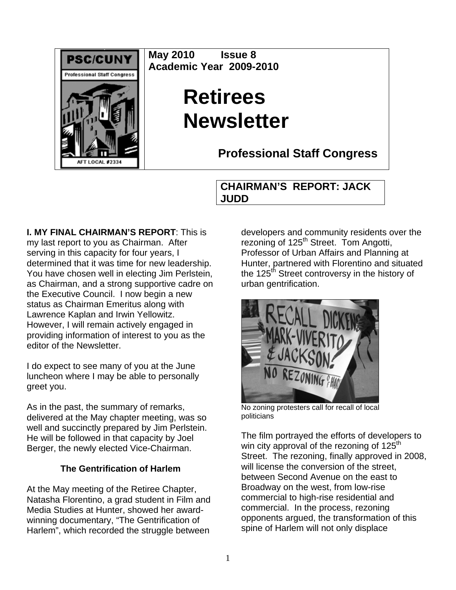

**May 2010 Issue 8 Academic Year 2009-2010** 

# **Retirees Newsletter**

**Professional Staff Congress**

# **CHAIRMAN'S REPORT: JACK JUDD**

**I. MY FINAL CHAIRMAN'S REPORT**: This is my last report to you as Chairman. After serving in this capacity for four years, I determined that it was time for new leadership. You have chosen well in electing Jim Perlstein, as Chairman, and a strong supportive cadre on the Executive Council. I now begin a new status as Chairman Emeritus along with Lawrence Kaplan and Irwin Yellowitz. However, I will remain actively engaged in providing information of interest to you as the editor of the Newsletter.

I do expect to see many of you at the June luncheon where I may be able to personally greet you.

As in the past, the summary of remarks, delivered at the May chapter meeting, was so well and succinctly prepared by Jim Perlstein. He will be followed in that capacity by Joel Berger, the newly elected Vice-Chairman.

## **The Gentrification of Harlem**

At the May meeting of the Retiree Chapter, Natasha Florentino, a grad student in Film and Media Studies at Hunter, showed her awardwinning documentary, "The Gentrification of Harlem", which recorded the struggle between

developers and community residents over the rezoning of  $125<sup>th</sup>$  Street. Tom Angotti, Professor of Urban Affairs and Planning at Hunter, partnered with Florentino and situated the 125<sup>th</sup> Street controversy in the history of urban gentrification.



No zoning protesters call for recall of local politicians

The film portrayed the efforts of developers to win city approval of the rezoning of  $125<sup>th</sup>$ Street. The rezoning, finally approved in 2008, will license the conversion of the street. between Second Avenue on the east to Broadway on the west, from low-rise commercial to high-rise residential and commercial. In the process, rezoning opponents argued, the transformation of this spine of Harlem will not only displace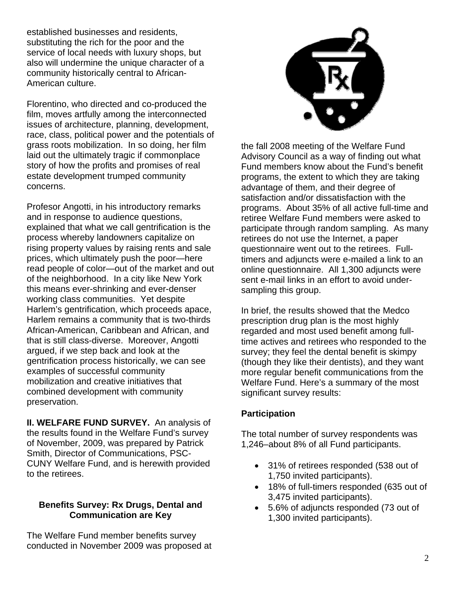established businesses and residents, substituting the rich for the poor and the service of local needs with luxury shops, but also will undermine the unique character of a community historically central to African-American culture.

Florentino, who directed and co-produced the film, moves artfully among the interconnected issues of architecture, planning, development, race, class, political power and the potentials of grass roots mobilization. In so doing, her film laid out the ultimately tragic if commonplace story of how the profits and promises of real estate development trumped community concerns.

Profesor Angotti, in his introductory remarks and in response to audience questions, explained that what we call gentrification is the process whereby landowners capitalize on rising property values by raising rents and sale prices, which ultimately push the poor—here read people of color—out of the market and out of the neighborhood. In a city like New York this means ever-shrinking and ever-denser working class communities. Yet despite Harlem's gentrification, which proceeds apace, Harlem remains a community that is two-thirds African-American, Caribbean and African, and that is still class-diverse. Moreover, Angotti argued, if we step back and look at the gentrification process historically, we can see examples of successful community mobilization and creative initiatives that combined development with community preservation.

**II. WELFARE FUND SURVEY.** An analysis of the results found in the Welfare Fund's survey of November, 2009, was prepared by Patrick Smith, Director of Communications, PSC-CUNY Welfare Fund, and is herewith provided to the retirees.

#### **Benefits Survey: Rx Drugs, Dental and Communication are Key**

The Welfare Fund member benefits survey conducted in November 2009 was proposed at



the fall 2008 meeting of the Welfare Fund Advisory Council as a way of finding out what Fund members know about the Fund's benefit programs, the extent to which they are taking advantage of them, and their degree of satisfaction and/or dissatisfaction with the programs. About 35% of all active full-time and retiree Welfare Fund members were asked to participate through random sampling. As many retirees do not use the Internet, a paper questionnaire went out to the retirees. Fulltimers and adjuncts were e-mailed a link to an online questionnaire. All 1,300 adjuncts were sent e-mail links in an effort to avoid undersampling this group.

In brief, the results showed that the Medco prescription drug plan is the most highly regarded and most used benefit among fulltime actives and retirees who responded to the survey; they feel the dental benefit is skimpy (though they like their dentists), and they want more regular benefit communications from the Welfare Fund. Here's a summary of the most significant survey results:

#### **Participation**

The total number of survey respondents was 1,246–about 8% of all Fund participants.

- 31% of retirees responded (538 out of 1,750 invited participants).
- 18% of full-timers responded (635 out of 3,475 invited participants).
- 5.6% of adjuncts responded (73 out of 1,300 invited participants).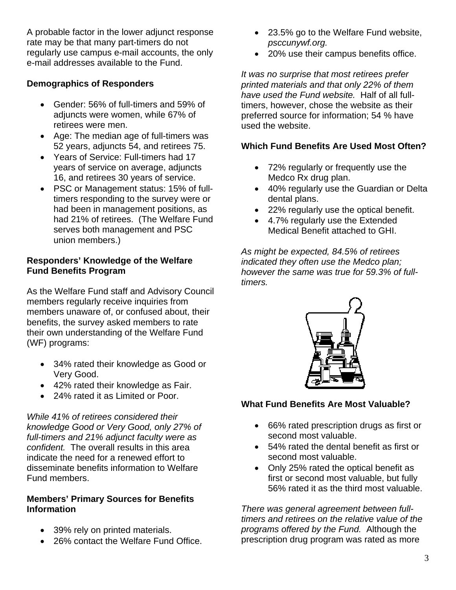A probable factor in the lower adjunct response rate may be that many part-timers do not regularly use campus e-mail accounts, the only e-mail addresses available to the Fund.

## **Demographics of Responders**

- Gender: 56% of full-timers and 59% of adjuncts were women, while 67% of retirees were men.
- Age: The median age of full-timers was 52 years, adjuncts 54, and retirees 75.
- Years of Service: Full-timers had 17 years of service on average, adjuncts 16, and retirees 30 years of service.
- PSC or Management status: 15% of fulltimers responding to the survey were or had been in management positions, as had 21% of retirees. (The Welfare Fund serves both management and PSC union members.)

### **Responders' Knowledge of the Welfare Fund Benefits Program**

As the Welfare Fund staff and Advisory Council members regularly receive inquiries from members unaware of, or confused about, their benefits, the survey asked members to rate their own understanding of the Welfare Fund (WF) programs:

- 34% rated their knowledge as Good or Very Good.
- 42% rated their knowledge as Fair.
- 24% rated it as Limited or Poor.

*While 41% of retirees considered their knowledge Good or Very Good, only 27% of full-timers and 21% adjunct faculty were as confident.* The overall results in this area indicate the need for a renewed effort to disseminate benefits information to Welfare Fund members.

#### **Members' Primary Sources for Benefits Information**

- 39% rely on printed materials.
- 26% contact the Welfare Fund Office.
- 23.5% go to the Welfare Fund website, *psccunywf.org.*
- 20% use their campus benefits office.

*It was no surprise that most retirees prefer printed materials and that only 22% of them have used the Fund website.* Half of all fulltimers, however, chose the website as their preferred source for information; 54 % have used the website.

## **Which Fund Benefits Are Used Most Often?**

- 72% regularly or frequently use the Medco Rx drug plan.
- 40% regularly use the Guardian or Delta dental plans.
- 22% regularly use the optical benefit.
- 4.7% regularly use the Extended Medical Benefit attached to GHI.

*As might be expected, 84.5% of retirees indicated they often use the Medco plan; however the same was true for 59.3% of fulltimers.* 



## **What Fund Benefits Are Most Valuable?**

- 66% rated prescription drugs as first or second most valuable.
- 54% rated the dental benefit as first or second most valuable.
- Only 25% rated the optical benefit as first or second most valuable, but fully 56% rated it as the third most valuable.

*There was general agreement between fulltimers and retirees on the relative value of the programs offered by the Fund.* Although the prescription drug program was rated as more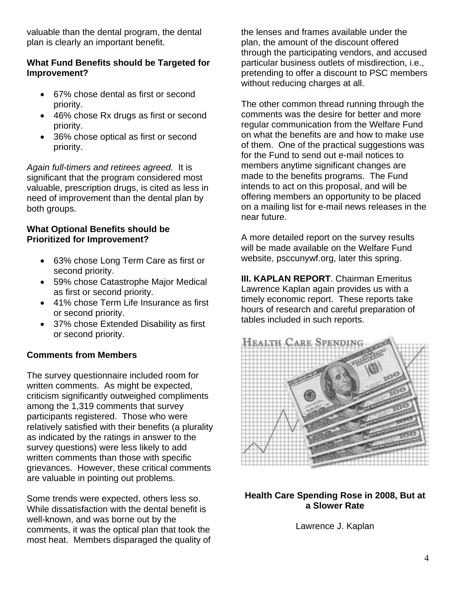valuable than the dental program, the dental plan is clearly an important benefit.

#### **What Fund Benefits should be Targeted for Improvement?**

- 67% chose dental as first or second priority.
- 46% chose Rx drugs as first or second priority.
- 36% chose optical as first or second priority.

*Again full-timers and retirees agreed.* It is significant that the program considered most valuable, prescription drugs, is cited as less in need of improvement than the dental plan by both groups.

#### **What Optional Benefits should be Prioritized for Improvement?**

- 63% chose Long Term Care as first or second priority.
- 59% chose Catastrophe Major Medical as first or second priority.
- 41% chose Term Life Insurance as first or second priority.
- 37% chose Extended Disability as first or second priority.

## **Comments from Members**

The survey questionnaire included room for written comments. As might be expected, criticism significantly outweighed compliments among the 1,319 comments that survey participants registered. Those who were relatively satisfied with their benefits (a plurality as indicated by the ratings in answer to the survey questions) were less likely to add written comments than those with specific grievances. However, these critical comments are valuable in pointing out problems.

Some trends were expected, others less so. While dissatisfaction with the dental benefit is well-known, and was borne out by the comments, it was the optical plan that took the most heat. Members disparaged the quality of the lenses and frames available under the plan, the amount of the discount offered through the participating vendors, and accused particular business outlets of misdirection, i.e., pretending to offer a discount to PSC members without reducing charges at all.

The other common thread running through the comments was the desire for better and more regular communication from the Welfare Fund on what the benefits are and how to make use of them. One of the practical suggestions was for the Fund to send out e-mail notices to members anytime significant changes are made to the benefits programs. The Fund intends to act on this proposal, and will be offering members an opportunity to be placed on a mailing list for e-mail news releases in the near future.

A more detailed report on the survey results will be made available on the Welfare Fund website, psccunywf.org, later this spring.

**III. KAPLAN REPORT**. Chairman Emeritus Lawrence Kaplan again provides us with a timely economic report. These reports take hours of research and careful preparation of tables included in such reports.



#### **Health Care Spending Rose in 2008, But at a Slower Rate**

Lawrence J. Kaplan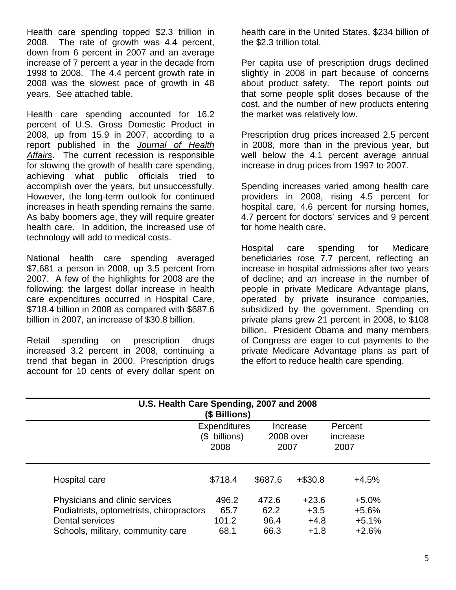Health care spending topped \$2.3 trillion in 2008. The rate of growth was 4.4 percent, down from 6 percent in 2007 and an average increase of 7 percent a year in the decade from 1998 to 2008. The 4.4 percent growth rate in 2008 was the slowest pace of growth in 48 years. See attached table.

Health care spending accounted for 16.2 percent of U.S. Gross Domestic Product in 2008, up from 15.9 in 2007, according to a report published in the *Journal of Health Affairs*. The current recession is responsible for slowing the growth of health care spending, achieving what public officials tried to accomplish over the years, but unsuccessfully. However, the long-term outlook for continued increases in heath spending remains the same. As baby boomers age, they will require greater health care. In addition, the increased use of technology will add to medical costs.

National health care spending averaged \$7,681 a person in 2008, up 3.5 percent from 2007. A few of the highlights for 2008 are the following: the largest dollar increase in health care expenditures occurred in Hospital Care, \$718.4 billion in 2008 as compared with \$687.6 billion in 2007, an increase of \$30.8 billion.

Retail spending on prescription drugs increased 3.2 percent in 2008, continuing a trend that began in 2000. Prescription drugs account for 10 cents of every dollar spent on health care in the United States, \$234 billion of the \$2.3 trillion total.

Per capita use of prescription drugs declined slightly in 2008 in part because of concerns about product safety. The report points out that some people split doses because of the cost, and the number of new products entering the market was relatively low.

Prescription drug prices increased 2.5 percent in 2008, more than in the previous year, but well below the 4.1 percent average annual increase in drug prices from 1997 to 2007.

Spending increases varied among health care providers in 2008, rising 4.5 percent for hospital care, 4.6 percent for nursing homes, 4.7 percent for doctors' services and 9 percent for home health care.

Hospital care spending for Medicare beneficiaries rose 7.7 percent, reflecting an increase in hospital admissions after two years of decline; and an increase in the number of people in private Medicare Advantage plans, operated by private insurance companies, subsidized by the government. Spending on private plans grew 21 percent in 2008, to \$108 billion. President Obama and many members of Congress are eager to cut payments to the private Medicare Advantage plans as part of the effort to reduce health care spending.

| U.S. Health Care Spending, 2007 and 2008<br>(\$ Billions) |                                              |                               |           |                             |  |  |  |  |  |
|-----------------------------------------------------------|----------------------------------------------|-------------------------------|-----------|-----------------------------|--|--|--|--|--|
|                                                           | <b>Expenditures</b><br>(\$ billions)<br>2008 | Increase<br>2008 over<br>2007 |           | Percent<br>increase<br>2007 |  |  |  |  |  |
| Hospital care                                             | \$718.4                                      | \$687.6                       | $+ $30.8$ | $+4.5%$                     |  |  |  |  |  |
| Physicians and clinic services                            | 496.2                                        | 472.6                         | $+23.6$   | $+5.0%$                     |  |  |  |  |  |
| Podiatrists, optometrists, chiropractors                  | 65.7                                         | 62.2                          | $+3.5$    | $+5.6%$                     |  |  |  |  |  |
| Dental services                                           | 101.2                                        | 96.4                          | $+4.8$    | $+5.1%$                     |  |  |  |  |  |
| Schools, military, community care                         | 68.1                                         | 66.3                          | $+1.8$    | $+2.6%$                     |  |  |  |  |  |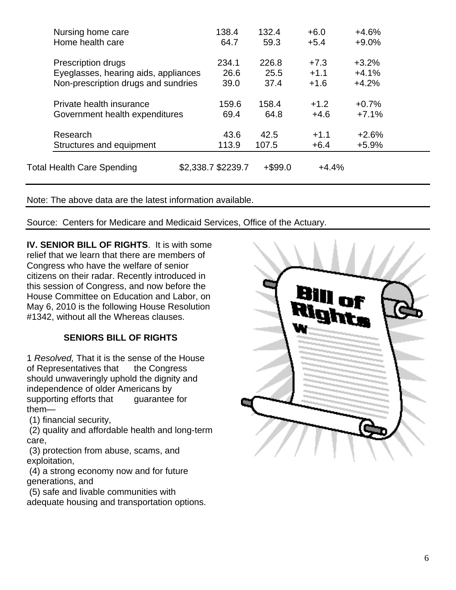| Nursing home care                    | 138.4              | 132.4      | $+6.0$  | $+4.6%$ |  |
|--------------------------------------|--------------------|------------|---------|---------|--|
| Home health care                     | 64.7               | 59.3       | $+5.4$  | $+9.0%$ |  |
| Prescription drugs                   | 234.1              | 226.8      | $+7.3$  | $+3.2%$ |  |
| Eyeglasses, hearing aids, appliances | 26.6               | 25.5       | $+1.1$  | $+4.1%$ |  |
| Non-prescription drugs and sundries  | 39.0               | 37.4       | $+1.6$  | $+4.2%$ |  |
| Private health insurance             | 159.6              | 158.4      | $+1.2$  | $+0.7%$ |  |
| Government health expenditures       | 69.4               | 64.8       | $+4.6$  | $+7.1%$ |  |
| Research                             | 43.6               | 42.5       | $+1.1$  | $+2.6%$ |  |
| Structures and equipment             | 113.9              | 107.5      | $+6.4$  | $+5.9%$ |  |
|                                      |                    |            |         |         |  |
| Total Health Care Spending           | \$2,338.7 \$2239.7 | $+$ \$99.0 | $+4.4%$ |         |  |

Note: The above data are the latest information available.

Source: Centers for Medicare and Medicaid Services, Office of the Actuary.

**IV. SENIOR BILL OF RIGHTS**. It is with some relief that we learn that there are members of Congress who have the welfare of senior citizens on their radar. Recently introduced in this session of Congress, and now before the House Committee on Education and Labor, on May 6, 2010 is the following House Resolution #1342, without all the Whereas clauses.

## **SENIORS BILL OF RIGHTS**

1 *Resolved,* That it is the sense of the House of Representatives that the Congress should unwaveringly uphold the dignity and independence of older Americans by supporting efforts that guarantee for them—

(1) financial security,

 (2) quality and affordable health and long-term care,

 (3) protection from abuse, scams, and exploitation,

 (4) a strong economy now and for future generations, and

(5) safe and livable communities with

adequate housing and transportation options.